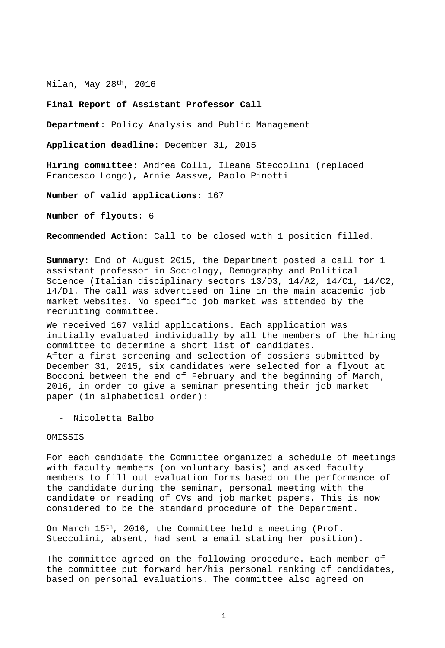Milan, May 28th, 2016

## **Final Report of Assistant Professor Call**

**Department**: Policy Analysis and Public Management

**Application deadline**: December 31, 2015

**Hiring committee**: Andrea Colli, Ileana Steccolini (replaced Francesco Longo), Arnie Aassve, Paolo Pinotti

**Number of valid applications**: 167

**Number of flyouts**: 6

**Recommended Action**: Call to be closed with 1 position filled.

**Summary**: End of August 2015, the Department posted a call for 1 assistant professor in Sociology, Demography and Political Science (Italian disciplinary sectors 13/D3, 14/A2, 14/C1, 14/C2, 14/D1. The call was advertised on line in the main academic job market websites. No specific job market was attended by the recruiting committee.

We received 167 valid applications. Each application was initially evaluated individually by all the members of the hiring committee to determine a short list of candidates. After a first screening and selection of dossiers submitted by December 31, 2015, six candidates were selected for a flyout at Bocconi between the end of February and the beginning of March, 2016, in order to give a seminar presenting their job market paper (in alphabetical order):

- Nicoletta Balbo

OMISSIS

For each candidate the Committee organized a schedule of meetings with faculty members (on voluntary basis) and asked faculty members to fill out evaluation forms based on the performance of the candidate during the seminar, personal meeting with the candidate or reading of CVs and job market papers. This is now considered to be the standard procedure of the Department.

On March 15th, 2016, the Committee held a meeting (Prof. Steccolini, absent, had sent a email stating her position).

The committee agreed on the following procedure. Each member of the committee put forward her/his personal ranking of candidates, based on personal evaluations. The committee also agreed on